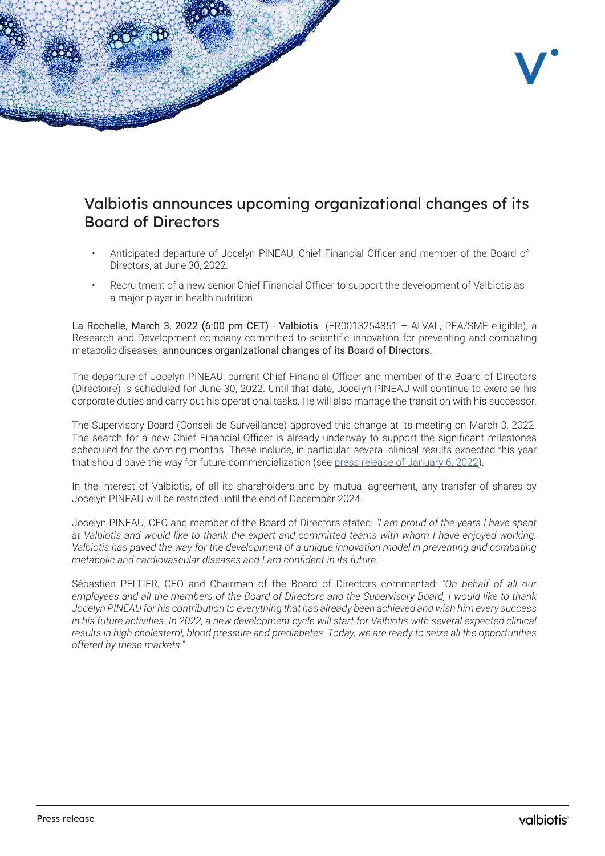

## Valbiotis announces upcoming organizational changes of its Board of Directors

- Anticipated departure of Jocelyn PINEAU, Chief Financial Officer and member of the Board of Directors, at June 30, 2022.
- Recruitment of a new senior Chief Financial Officer to support the development of Valbiotis as a major player in health nutrition.

La Rochelle, March 3, 2022 (6:00 pm CET) - Valbiotis (FR0013254851 – ALVAL, PEA/SME eligible), a Research and Development company committed to scientific innovation for preventing and combating metabolic diseases, announces organizational changes of its Board of Directors.

The departure of Jocelyn PINEAU, current Chief Financial Officer and member of the Board of Directors (Directoire) is scheduled for June 30, 2022. Until that date, Jocelyn PINEAU will continue to exercise his corporate duties and carry out his operational tasks. He will also manage the transition with his successor.

The Supervisory Board (Conseil de Surveillance) approved this change at its meeting on March 3, 2022. The search for a new Chief Financial Officer is already underway to support the significant milestones scheduled for the coming months. These include, in particular, several clinical results expected this year that should pave the way for future commercialization (see [press release of January 6, 2022\)](https://www.valbiotis.com/wp-content/uploads/2022/01/2022-01-06-VALBIOTIS_PR_NEWSFLOW.pdf).

In the interest of Valbiotis, of all its shareholders and by mutual agreement, any transfer of shares by Jocelyn PINEAU will be restricted until the end of December 2024.

Jocelyn PINEAU, CFO and member of the Board of Directors stated: *"I am proud of the years I have spent at Valbiotis and would like to thank the expert and committed teams with whom I have enjoyed working. Valbiotis has paved the way for the development of a unique innovation model in preventing and combating metabolic and cardiovascular diseases and I am confident in its future."*

Sébastien PELTIER, CEO and Chairman of the Board of Directors commented: *"On behalf of all our employees and all the members of the Board of Directors and the Supervisory Board, I would like to thank Jocelyn PINEAU for his contribution to everything that has already been achieved and wish him every success*  in his future activities. In 2022, a new development cycle will start for Valbiotis with several expected clinical *results in high cholesterol, blood pressure and prediabetes. Today, we are ready to seize all the opportunities offered by these markets."*